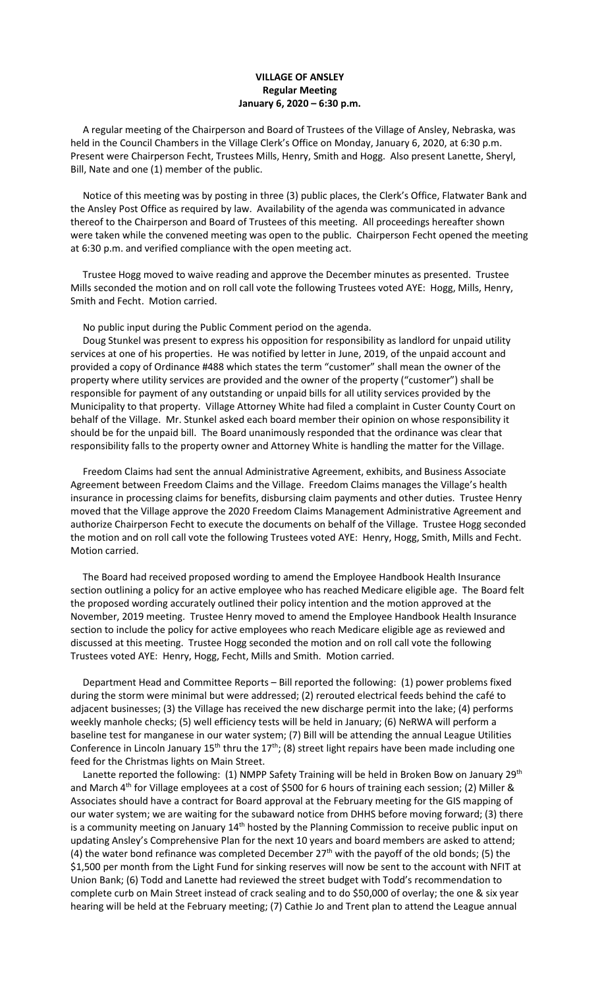## **VILLAGE OF ANSLEY Regular Meeting January 6, 2020 – 6:30 p.m.**

 A regular meeting of the Chairperson and Board of Trustees of the Village of Ansley, Nebraska, was held in the Council Chambers in the Village Clerk's Office on Monday, January 6, 2020, at 6:30 p.m. Present were Chairperson Fecht, Trustees Mills, Henry, Smith and Hogg. Also present Lanette, Sheryl, Bill, Nate and one (1) member of the public.

 Notice of this meeting was by posting in three (3) public places, the Clerk's Office, Flatwater Bank and the Ansley Post Office as required by law. Availability of the agenda was communicated in advance thereof to the Chairperson and Board of Trustees of this meeting. All proceedings hereafter shown were taken while the convened meeting was open to the public. Chairperson Fecht opened the meeting at 6:30 p.m. and verified compliance with the open meeting act.

 Trustee Hogg moved to waive reading and approve the December minutes as presented. Trustee Mills seconded the motion and on roll call vote the following Trustees voted AYE: Hogg, Mills, Henry, Smith and Fecht. Motion carried.

No public input during the Public Comment period on the agenda.

 Doug Stunkel was present to express his opposition for responsibility as landlord for unpaid utility services at one of his properties. He was notified by letter in June, 2019, of the unpaid account and provided a copy of Ordinance #488 which states the term "customer" shall mean the owner of the property where utility services are provided and the owner of the property ("customer") shall be responsible for payment of any outstanding or unpaid bills for all utility services provided by the Municipality to that property. Village Attorney White had filed a complaint in Custer County Court on behalf of the Village. Mr. Stunkel asked each board member their opinion on whose responsibility it should be for the unpaid bill. The Board unanimously responded that the ordinance was clear that responsibility falls to the property owner and Attorney White is handling the matter for the Village.

 Freedom Claims had sent the annual Administrative Agreement, exhibits, and Business Associate Agreement between Freedom Claims and the Village. Freedom Claims manages the Village's health insurance in processing claims for benefits, disbursing claim payments and other duties. Trustee Henry moved that the Village approve the 2020 Freedom Claims Management Administrative Agreement and authorize Chairperson Fecht to execute the documents on behalf of the Village. Trustee Hogg seconded the motion and on roll call vote the following Trustees voted AYE: Henry, Hogg, Smith, Mills and Fecht. Motion carried.

 The Board had received proposed wording to amend the Employee Handbook Health Insurance section outlining a policy for an active employee who has reached Medicare eligible age. The Board felt the proposed wording accurately outlined their policy intention and the motion approved at the November, 2019 meeting. Trustee Henry moved to amend the Employee Handbook Health Insurance section to include the policy for active employees who reach Medicare eligible age as reviewed and discussed at this meeting. Trustee Hogg seconded the motion and on roll call vote the following Trustees voted AYE: Henry, Hogg, Fecht, Mills and Smith. Motion carried.

 Department Head and Committee Reports – Bill reported the following: (1) power problems fixed during the storm were minimal but were addressed; (2) rerouted electrical feeds behind the café to adjacent businesses; (3) the Village has received the new discharge permit into the lake; (4) performs weekly manhole checks; (5) well efficiency tests will be held in January; (6) NeRWA will perform a baseline test for manganese in our water system; (7) Bill will be attending the annual League Utilities Conference in Lincoln January  $15<sup>th</sup>$  thru the  $17<sup>th</sup>$ ; (8) street light repairs have been made including one feed for the Christmas lights on Main Street.

Lanette reported the following: (1) NMPP Safety Training will be held in Broken Bow on January 29<sup>th</sup> and March 4<sup>th</sup> for Village employees at a cost of \$500 for 6 hours of training each session; (2) Miller & Associates should have a contract for Board approval at the February meeting for the GIS mapping of our water system; we are waiting for the subaward notice from DHHS before moving forward; (3) there is a community meeting on January 14<sup>th</sup> hosted by the Planning Commission to receive public input on updating Ansley's Comprehensive Plan for the next 10 years and board members are asked to attend; (4) the water bond refinance was completed December  $27<sup>th</sup>$  with the payoff of the old bonds; (5) the \$1,500 per month from the Light Fund for sinking reserves will now be sent to the account with NFIT at Union Bank; (6) Todd and Lanette had reviewed the street budget with Todd's recommendation to complete curb on Main Street instead of crack sealing and to do \$50,000 of overlay; the one & six year hearing will be held at the February meeting; (7) Cathie Jo and Trent plan to attend the League annual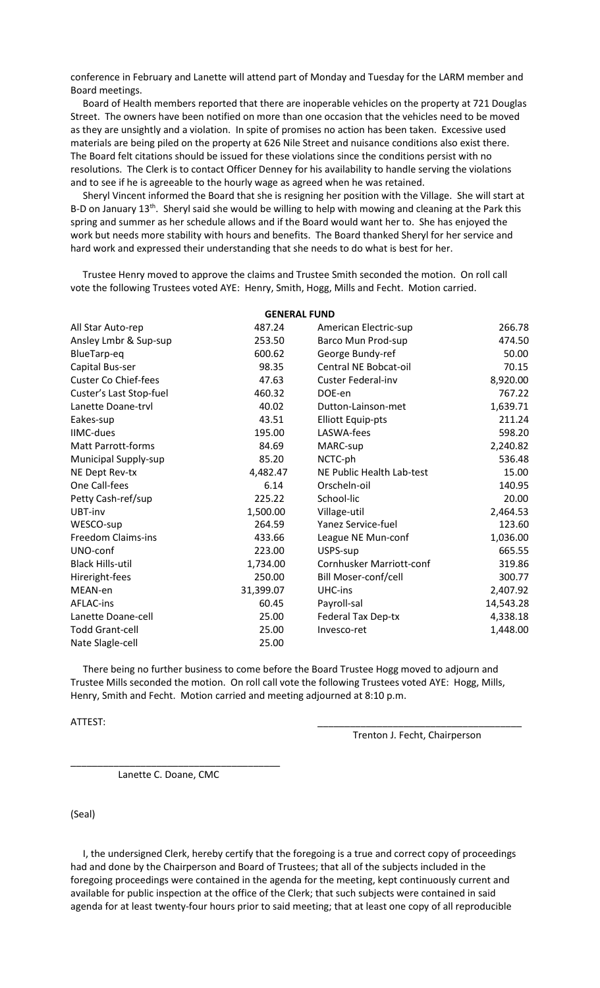conference in February and Lanette will attend part of Monday and Tuesday for the LARM member and Board meetings.

 Board of Health members reported that there are inoperable vehicles on the property at 721 Douglas Street. The owners have been notified on more than one occasion that the vehicles need to be moved as they are unsightly and a violation. In spite of promises no action has been taken. Excessive used materials are being piled on the property at 626 Nile Street and nuisance conditions also exist there. The Board felt citations should be issued for these violations since the conditions persist with no resolutions. The Clerk is to contact Officer Denney for his availability to handle serving the violations and to see if he is agreeable to the hourly wage as agreed when he was retained.

 Sheryl Vincent informed the Board that she is resigning her position with the Village. She will start at B-D on January 13<sup>th</sup>. Sheryl said she would be willing to help with mowing and cleaning at the Park this spring and summer as her schedule allows and if the Board would want her to. She has enjoyed the work but needs more stability with hours and benefits. The Board thanked Sheryl for her service and hard work and expressed their understanding that she needs to do what is best for her.

 Trustee Henry moved to approve the claims and Trustee Smith seconded the motion. On roll call vote the following Trustees voted AYE: Henry, Smith, Hogg, Mills and Fecht. Motion carried.

| <b>GENERAL FUND</b>         |           |                                 |           |
|-----------------------------|-----------|---------------------------------|-----------|
| All Star Auto-rep           | 487.24    | American Electric-sup           | 266.78    |
| Ansley Lmbr & Sup-sup       | 253.50    | Barco Mun Prod-sup              | 474.50    |
| BlueTarp-eq                 | 600.62    | George Bundy-ref                | 50.00     |
| Capital Bus-ser             | 98.35     | Central NE Bobcat-oil           | 70.15     |
| <b>Custer Co Chief-fees</b> | 47.63     | <b>Custer Federal-inv</b>       | 8,920.00  |
| Custer's Last Stop-fuel     | 460.32    | DOE-en                          | 767.22    |
| Lanette Doane-trvl          | 40.02     | Dutton-Lainson-met              | 1,639.71  |
| Eakes-sup                   | 43.51     | <b>Elliott Equip-pts</b>        | 211.24    |
| <b>IIMC-dues</b>            | 195.00    | LASWA-fees                      | 598.20    |
| <b>Matt Parrott-forms</b>   | 84.69     | MARC-sup                        | 2,240.82  |
| <b>Municipal Supply-sup</b> | 85.20     | NCTC-ph                         | 536.48    |
| NE Dept Rev-tx              | 4,482.47  | NE Public Health Lab-test       | 15.00     |
| One Call-fees               | 6.14      | Orscheln-oil                    | 140.95    |
| Petty Cash-ref/sup          | 225.22    | School-lic                      | 20.00     |
| UBT-inv                     | 1,500.00  | Village-util                    | 2,464.53  |
| WESCO-sup                   | 264.59    | <b>Yanez Service-fuel</b>       | 123.60    |
| Freedom Claims-ins          | 433.66    | League NE Mun-conf              | 1,036.00  |
| UNO-conf                    | 223.00    | USPS-sup                        | 665.55    |
| <b>Black Hills-util</b>     | 1,734.00  | <b>Cornhusker Marriott-conf</b> | 319.86    |
| Hireright-fees              | 250.00    | Bill Moser-conf/cell            | 300.77    |
| MEAN-en                     | 31,399.07 | UHC-ins                         | 2,407.92  |
| <b>AFLAC-ins</b>            | 60.45     | Payroll-sal                     | 14,543.28 |
| Lanette Doane-cell          | 25.00     | <b>Federal Tax Dep-tx</b>       | 4,338.18  |
| <b>Todd Grant-cell</b>      | 25.00     | Invesco-ret                     | 1,448.00  |
| Nate Slagle-cell            | 25.00     |                                 |           |

 There being no further business to come before the Board Trustee Hogg moved to adjourn and Trustee Mills seconded the motion. On roll call vote the following Trustees voted AYE: Hogg, Mills, Henry, Smith and Fecht. Motion carried and meeting adjourned at 8:10 p.m.

ATTEST: \_\_\_\_\_\_\_\_\_\_\_\_\_\_\_\_\_\_\_\_\_\_\_\_\_\_\_\_\_\_\_\_\_\_\_\_\_\_

Trenton J. Fecht, Chairperson

Lanette C. Doane, CMC

\_\_\_\_\_\_\_\_\_\_\_\_\_\_\_\_\_\_\_\_\_\_\_\_\_\_\_\_\_\_\_\_\_\_\_\_\_\_\_

(Seal)

 I, the undersigned Clerk, hereby certify that the foregoing is a true and correct copy of proceedings had and done by the Chairperson and Board of Trustees; that all of the subjects included in the foregoing proceedings were contained in the agenda for the meeting, kept continuously current and available for public inspection at the office of the Clerk; that such subjects were contained in said agenda for at least twenty-four hours prior to said meeting; that at least one copy of all reproducible